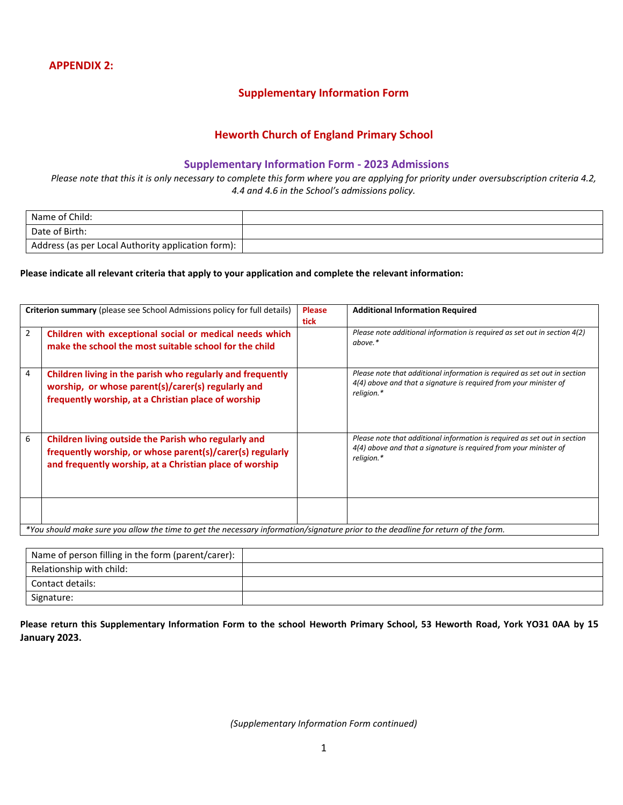## **Supplementary Information Form**

# **Heworth Church of England Primary School**

### **Supplementary Information Form - 2023 Admissions**

*Please note that this it is only necessary to complete this form where you are applying for priority under oversubscription criteria 4.2, 4.4 and 4.6 in the School's admissions policy.*

| Name of Child:                                     |  |
|----------------------------------------------------|--|
| Date of Birth:                                     |  |
| Address (as per Local Authority application form): |  |

#### **Please indicate all relevant criteria that apply to your application and complete the relevant information:**

|                | <b>Criterion summary</b> (please see School Admissions policy for full details)                                                                                              | <b>Please</b><br>tick | <b>Additional Information Required</b>                                                                                                                       |
|----------------|------------------------------------------------------------------------------------------------------------------------------------------------------------------------------|-----------------------|--------------------------------------------------------------------------------------------------------------------------------------------------------------|
| $\overline{2}$ | Children with exceptional social or medical needs which<br>make the school the most suitable school for the child                                                            |                       | Please note additional information is required as set out in section 4(2)<br>above.*                                                                         |
| 4              | Children living in the parish who regularly and frequently<br>worship, or whose parent(s)/carer(s) regularly and<br>frequently worship, at a Christian place of worship      |                       | Please note that additional information is required as set out in section<br>4(4) above and that a signature is required from your minister of<br>religion.* |
| 6              | Children living outside the Parish who regularly and<br>frequently worship, or whose parent(s)/carer(s) regularly<br>and frequently worship, at a Christian place of worship |                       | Please note that additional information is required as set out in section<br>4(4) above and that a signature is required from your minister of<br>religion.* |
|                | *Victorial colored control allocated attended to a concernent from attendance of the attended the december from a fate from                                                  |                       |                                                                                                                                                              |

*\*You should make sure you allow the time to get the necessary information/signature prior to the deadline for return of the form.*

| Name of person filling in the form (parent/carer): |  |
|----------------------------------------------------|--|
| Relationship with child:                           |  |
| Contact details:                                   |  |
| Signature:                                         |  |

**Please return this Supplementary Information Form to the school Heworth Primary School, 53 Heworth Road, York YO31 0AA by 15 January 2023.**

*(Supplementary Information Form continued)*